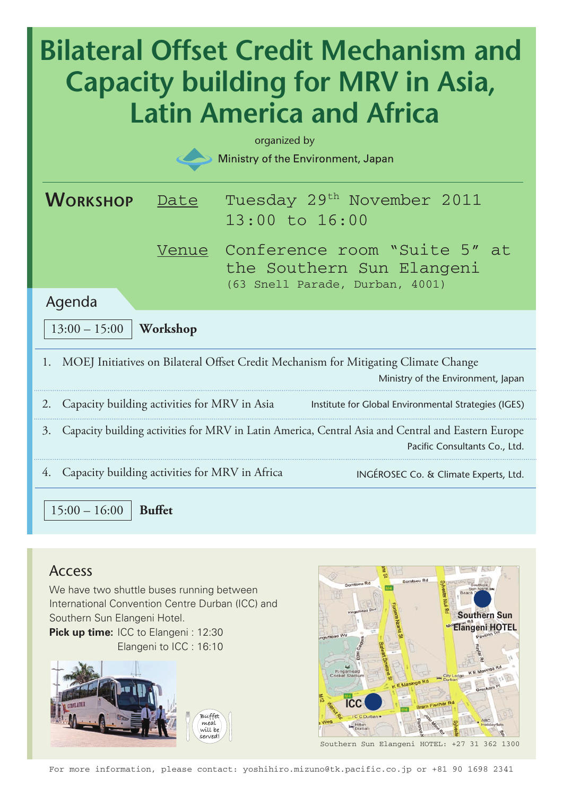# **Bilateral Offset Credit Mechanism and Capacity building for MRV in Asia, Latin America and Africa** organized byMinistry of the Environment, Japan **WORKSHOP** Date Tuesday 29<sup>th</sup> November 2011 13:00 to 16:00 Venue Conference room "Suite 5" at the Southern Sun Elangeni (63 Snell Parade, Durban, 4001) Agenda 13:00 – 15:00 **Workshop** 1. MOEJ Initiatives on Bilateral Offset Credit Mechanism for Mitigating Climate Change Ministry of the Environment, Japan 2. Capacity building activities for MRV in Asia Institute for Global Environmental Strategies (IGES) 3. Capacity building activities for MRV in Latin America, Central Asia and Central and Eastern Europe Pacific Consultants Co., Ltd. 4. Capacity building activities for MRV in Africa INGÉROSEC Co. & Climate Experts, Ltd. 15:00 – 16:00 **Buffet**

### Access

We have two shuttle buses running between International Convention Centre Durban (ICC) and Southern Sun Elangeni Hotel. **Pick up time: ICC to Elangeni: 12:30** Elangeni to ICC : 16:10





Southern Sun Elangeni HOTEL: +27